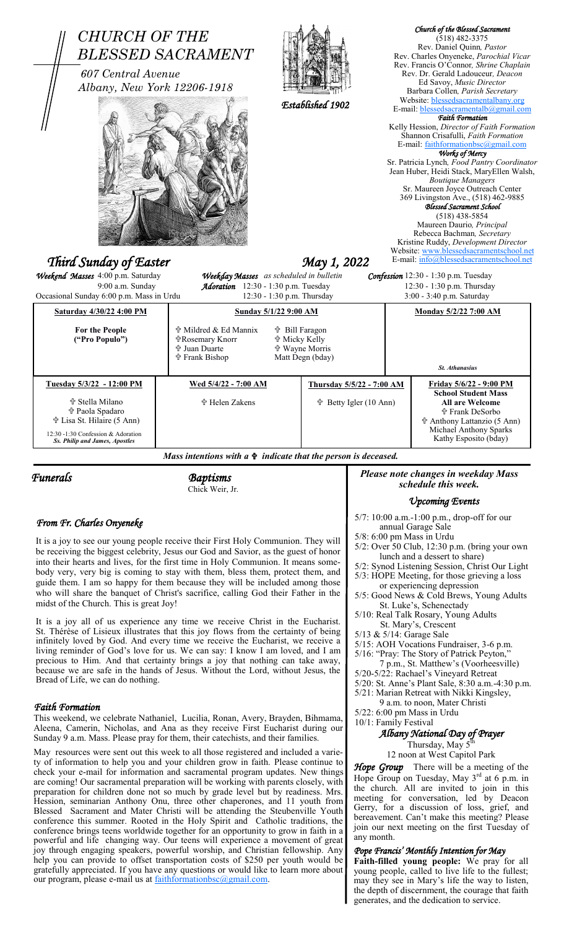| Weekend Masses 4:00 p.m. Saturday<br>Weekday Masses as scheduled in bulletin<br>Confession 12:30 - 1:30 p.m. Tuesday<br>9:00 a.m. Sunday<br>Adoration 12:30 - 1:30 p.m. Tuesday<br>12:30 - 1:30 p.m. Thursday<br>Occasional Sunday 6:00 p.m. Mass in Urdu<br>12:30 - 1:30 p.m. Thursday<br>3:00 - 3:40 p.m. Saturday<br>Saturday 4/30/22 4:00 PM<br><b>Sunday 5/1/22 9:00 AM</b><br><b>Monday 5/2/22 7:00 AM</b><br>† Mildred & Ed Mannix<br>For the People<br><b>t</b> Bill Faragon<br>("Pro Populo")<br><b>个Rosemary Knorr</b><br><b><sup>廿</sup> Micky Kelly</b><br><b>th</b> Juan Duarte<br><b>t</b> Wayne Morris<br><b>†Frank Bishop</b><br>Matt Degn (bday)<br>St. Athanasius<br>Tuesday 5/3/22 - 12:00 PM<br>Wed 5/4/22 - 7:00 AM<br>Friday 5/6/22 - 9:00 PM<br>Thursday 5/5/22 - 7:00 AM<br><b>School Student Mass</b><br><b>† Stella Milano</b><br><b>† Helen Zakens</b><br>† Betty Igler (10 Ann)<br><b>All are Welcome</b><br><b>the Paola Spadaro</b><br><b><sup>中</sup> Frank DeSorbo</b><br><b>↑ Lisa St. Hilaire (5 Ann)</b><br>the Anthony Lattanzio (5 Ann)<br>Michael Anthony Sparks<br>12:30 -1:30 Confession & Adoration<br>Kathy Esposito (bday)<br>Ss. Philip and James, Apostles<br>Mass intentions with $a \oplus indicate$ that the person is deceased.<br>Please note changes in weekday Mass<br><b>Baptisms</b><br>schedule this week.<br>Chick Weir, Jr.<br><b>Upcoming Events</b><br>5/7: 10:00 a.m.-1:00 p.m., drop-off for our<br>From Fr. Charles Onyeneke<br>annual Garage Sale<br>$5/8$ : 6:00 pm Mass in Urdu<br>It is a joy to see our young people receive their First Holy Communion. They will<br>5/2: Over 50 Club, 12:30 p.m. (bring your own<br>be receiving the biggest celebrity, Jesus our God and Savior, as the guest of honor<br>lunch and a dessert to share)<br>into their hearts and lives, for the first time in Holy Communion. It means some-<br>5/2: Synod Listening Session, Christ Our Light<br>body very, very big is coming to stay with them, bless them, protect them, and<br>5/3: HOPE Meeting, for those grieving a loss<br>guide them. I am so happy for them because they will be included among those<br>or experiencing depression<br>who will share the banquet of Christ's sacrifice, calling God their Father in the<br>5/5: Good News & Cold Brews, Young Adults<br>midst of the Church. This is great Joy!<br>St. Luke's, Schenectady<br>5/10: Real Talk Rosary, Young Adults<br>It is a joy all of us experience any time we receive Christ in the Eucharist.<br>St. Mary's, Crescent<br>St. Thérèse of Lisieux illustrates that this joy flows from the certainty of being<br>5/13 & 5/14: Garage Sale<br>infinitely loved by God. And every time we receive the Eucharist, we receive a<br>5/15: AOH Vocations Fundraiser, 3-6 p.m.<br>living reminder of God's love for us. We can say: I know I am loved, and I am<br>5/16: "Pray: The Story of Patrick Peyton,"<br>precious to Him. And that certainty brings a joy that nothing can take away,<br>7 p.m., St. Matthew's (Voorheesville)<br>because we are safe in the hands of Jesus. Without the Lord, without Jesus, the<br>5/20-5/22: Rachael's Vineyard Retreat<br>Bread of Life, we can do nothing.<br>5/20: St. Anne's Plant Sale, 8:30 a.m.-4:30 p.m.<br>5/21: Marian Retreat with Nikki Kingsley,<br>9 a.m. to noon, Mater Christi<br><b>Faith Formation</b><br>$5/22$ : 6:00 pm Mass in Urdu<br>This weekend, we celebrate Nathaniel, Lucilia, Ronan, Avery, Brayden, Bihmama,<br>10/1: Family Festival<br>Aleena, Camerin, Nicholas, and Ana as they receive First Eucharist during our<br>Albany National Day of Prayer<br>Sunday 9 a.m. Mass. Please pray for them, their catechists, and their families.<br>Thursday, May 5 <sup>th</sup><br>May resources were sent out this week to all those registered and included a varie- | <b>CHURCH OF THE</b><br>607 Central Avenue                                        | <b>BLESSED SACRAMENT</b><br>Albany, New York 12206-1918 |  | Established 1902 |                                                                              |  | Church of the Blessed Sacrament<br>$(518)$ 482-3375<br>Rev. Daniel Quinn, Pastor<br>Rev. Charles Onyeneke, Parochial Vicar<br>Rev. Francis O'Connor, Shrine Chaplain<br>Rev. Dr. Gerald Ladouceur, Deacon<br>Ed Savoy, Music Director<br>Barbara Collen, Parish Secretary<br>Website: blessedsacramentalbany.org<br>E-mail: blessedsacramentalb@gmail.com<br><b>Faith Formation</b><br>Kelly Hession, Director of Faith Formation<br>Shannon Crisafulli, Faith Formation<br>E-mail: faithformationbsc@gmail.com<br>Works of Mercy<br>Sr. Patricia Lynch, Food Pantry Coordinator<br>Jean Huber, Heidi Stack, MaryEllen Walsh,<br><b>Boutique Managers</b><br>Sr. Maureen Joyce Outreach Center<br>369 Livingston Ave., (518) 462-9885<br>Blessed Sacrament School<br>$(518)$ 438-5854<br>Maureen Daurio, Principal<br>Rebecca Bachman, Secretary<br>Kristine Ruddy, Development Director<br>Website: www.blessedsacramentschool.net<br>E-mail: info@blessedsacramentschool.net |  |
|------------------------------------------------------------------------------------------------------------------------------------------------------------------------------------------------------------------------------------------------------------------------------------------------------------------------------------------------------------------------------------------------------------------------------------------------------------------------------------------------------------------------------------------------------------------------------------------------------------------------------------------------------------------------------------------------------------------------------------------------------------------------------------------------------------------------------------------------------------------------------------------------------------------------------------------------------------------------------------------------------------------------------------------------------------------------------------------------------------------------------------------------------------------------------------------------------------------------------------------------------------------------------------------------------------------------------------------------------------------------------------------------------------------------------------------------------------------------------------------------------------------------------------------------------------------------------------------------------------------------------------------------------------------------------------------------------------------------------------------------------------------------------------------------------------------------------------------------------------------------------------------------------------------------------------------------------------------------------------------------------------------------------------------------------------------------------------------------------------------------------------------------------------------------------------------------------------------------------------------------------------------------------------------------------------------------------------------------------------------------------------------------------------------------------------------------------------------------------------------------------------------------------------------------------------------------------------------------------------------------------------------------------------------------------------------------------------------------------------------------------------------------------------------------------------------------------------------------------------------------------------------------------------------------------------------------------------------------------------------------------------------------------------------------------------------------------------------------------------------------------------------------------------------------------------------------------------------------------------------------------------------------------------------------------------------------------------------------------------------------------------------------------------------------------------------------------------------------------------------------------------------------------------------------------------------------------------------------------------------------------------------------------------------------------------------------------------------------------------------------------------------------------------------------------------------------------------------------------------------------------|-----------------------------------------------------------------------------------|---------------------------------------------------------|--|------------------|------------------------------------------------------------------------------|--|--------------------------------------------------------------------------------------------------------------------------------------------------------------------------------------------------------------------------------------------------------------------------------------------------------------------------------------------------------------------------------------------------------------------------------------------------------------------------------------------------------------------------------------------------------------------------------------------------------------------------------------------------------------------------------------------------------------------------------------------------------------------------------------------------------------------------------------------------------------------------------------------------------------------------------------------------------------------------------|--|
|                                                                                                                                                                                                                                                                                                                                                                                                                                                                                                                                                                                                                                                                                                                                                                                                                                                                                                                                                                                                                                                                                                                                                                                                                                                                                                                                                                                                                                                                                                                                                                                                                                                                                                                                                                                                                                                                                                                                                                                                                                                                                                                                                                                                                                                                                                                                                                                                                                                                                                                                                                                                                                                                                                                                                                                                                                                                                                                                                                                                                                                                                                                                                                                                                                                                                                                                                                                                                                                                                                                                                                                                                                                                                                                                                                                                                                                                              | Third Sunday of Easter<br>May 1, 2022                                             |                                                         |  |                  |                                                                              |  |                                                                                                                                                                                                                                                                                                                                                                                                                                                                                                                                                                                                                                                                                                                                                                                                                                                                                                                                                                                |  |
|                                                                                                                                                                                                                                                                                                                                                                                                                                                                                                                                                                                                                                                                                                                                                                                                                                                                                                                                                                                                                                                                                                                                                                                                                                                                                                                                                                                                                                                                                                                                                                                                                                                                                                                                                                                                                                                                                                                                                                                                                                                                                                                                                                                                                                                                                                                                                                                                                                                                                                                                                                                                                                                                                                                                                                                                                                                                                                                                                                                                                                                                                                                                                                                                                                                                                                                                                                                                                                                                                                                                                                                                                                                                                                                                                                                                                                                                              |                                                                                   |                                                         |  |                  |                                                                              |  |                                                                                                                                                                                                                                                                                                                                                                                                                                                                                                                                                                                                                                                                                                                                                                                                                                                                                                                                                                                |  |
|                                                                                                                                                                                                                                                                                                                                                                                                                                                                                                                                                                                                                                                                                                                                                                                                                                                                                                                                                                                                                                                                                                                                                                                                                                                                                                                                                                                                                                                                                                                                                                                                                                                                                                                                                                                                                                                                                                                                                                                                                                                                                                                                                                                                                                                                                                                                                                                                                                                                                                                                                                                                                                                                                                                                                                                                                                                                                                                                                                                                                                                                                                                                                                                                                                                                                                                                                                                                                                                                                                                                                                                                                                                                                                                                                                                                                                                                              |                                                                                   |                                                         |  |                  |                                                                              |  |                                                                                                                                                                                                                                                                                                                                                                                                                                                                                                                                                                                                                                                                                                                                                                                                                                                                                                                                                                                |  |
|                                                                                                                                                                                                                                                                                                                                                                                                                                                                                                                                                                                                                                                                                                                                                                                                                                                                                                                                                                                                                                                                                                                                                                                                                                                                                                                                                                                                                                                                                                                                                                                                                                                                                                                                                                                                                                                                                                                                                                                                                                                                                                                                                                                                                                                                                                                                                                                                                                                                                                                                                                                                                                                                                                                                                                                                                                                                                                                                                                                                                                                                                                                                                                                                                                                                                                                                                                                                                                                                                                                                                                                                                                                                                                                                                                                                                                                                              |                                                                                   |                                                         |  |                  |                                                                              |  |                                                                                                                                                                                                                                                                                                                                                                                                                                                                                                                                                                                                                                                                                                                                                                                                                                                                                                                                                                                |  |
|                                                                                                                                                                                                                                                                                                                                                                                                                                                                                                                                                                                                                                                                                                                                                                                                                                                                                                                                                                                                                                                                                                                                                                                                                                                                                                                                                                                                                                                                                                                                                                                                                                                                                                                                                                                                                                                                                                                                                                                                                                                                                                                                                                                                                                                                                                                                                                                                                                                                                                                                                                                                                                                                                                                                                                                                                                                                                                                                                                                                                                                                                                                                                                                                                                                                                                                                                                                                                                                                                                                                                                                                                                                                                                                                                                                                                                                                              |                                                                                   |                                                         |  |                  |                                                                              |  |                                                                                                                                                                                                                                                                                                                                                                                                                                                                                                                                                                                                                                                                                                                                                                                                                                                                                                                                                                                |  |
|                                                                                                                                                                                                                                                                                                                                                                                                                                                                                                                                                                                                                                                                                                                                                                                                                                                                                                                                                                                                                                                                                                                                                                                                                                                                                                                                                                                                                                                                                                                                                                                                                                                                                                                                                                                                                                                                                                                                                                                                                                                                                                                                                                                                                                                                                                                                                                                                                                                                                                                                                                                                                                                                                                                                                                                                                                                                                                                                                                                                                                                                                                                                                                                                                                                                                                                                                                                                                                                                                                                                                                                                                                                                                                                                                                                                                                                                              |                                                                                   |                                                         |  |                  |                                                                              |  |                                                                                                                                                                                                                                                                                                                                                                                                                                                                                                                                                                                                                                                                                                                                                                                                                                                                                                                                                                                |  |
|                                                                                                                                                                                                                                                                                                                                                                                                                                                                                                                                                                                                                                                                                                                                                                                                                                                                                                                                                                                                                                                                                                                                                                                                                                                                                                                                                                                                                                                                                                                                                                                                                                                                                                                                                                                                                                                                                                                                                                                                                                                                                                                                                                                                                                                                                                                                                                                                                                                                                                                                                                                                                                                                                                                                                                                                                                                                                                                                                                                                                                                                                                                                                                                                                                                                                                                                                                                                                                                                                                                                                                                                                                                                                                                                                                                                                                                                              |                                                                                   |                                                         |  |                  |                                                                              |  |                                                                                                                                                                                                                                                                                                                                                                                                                                                                                                                                                                                                                                                                                                                                                                                                                                                                                                                                                                                |  |
|                                                                                                                                                                                                                                                                                                                                                                                                                                                                                                                                                                                                                                                                                                                                                                                                                                                                                                                                                                                                                                                                                                                                                                                                                                                                                                                                                                                                                                                                                                                                                                                                                                                                                                                                                                                                                                                                                                                                                                                                                                                                                                                                                                                                                                                                                                                                                                                                                                                                                                                                                                                                                                                                                                                                                                                                                                                                                                                                                                                                                                                                                                                                                                                                                                                                                                                                                                                                                                                                                                                                                                                                                                                                                                                                                                                                                                                                              | <b>Funerals</b>                                                                   |                                                         |  |                  |                                                                              |  |                                                                                                                                                                                                                                                                                                                                                                                                                                                                                                                                                                                                                                                                                                                                                                                                                                                                                                                                                                                |  |
|                                                                                                                                                                                                                                                                                                                                                                                                                                                                                                                                                                                                                                                                                                                                                                                                                                                                                                                                                                                                                                                                                                                                                                                                                                                                                                                                                                                                                                                                                                                                                                                                                                                                                                                                                                                                                                                                                                                                                                                                                                                                                                                                                                                                                                                                                                                                                                                                                                                                                                                                                                                                                                                                                                                                                                                                                                                                                                                                                                                                                                                                                                                                                                                                                                                                                                                                                                                                                                                                                                                                                                                                                                                                                                                                                                                                                                                                              |                                                                                   |                                                         |  |                  |                                                                              |  |                                                                                                                                                                                                                                                                                                                                                                                                                                                                                                                                                                                                                                                                                                                                                                                                                                                                                                                                                                                |  |
|                                                                                                                                                                                                                                                                                                                                                                                                                                                                                                                                                                                                                                                                                                                                                                                                                                                                                                                                                                                                                                                                                                                                                                                                                                                                                                                                                                                                                                                                                                                                                                                                                                                                                                                                                                                                                                                                                                                                                                                                                                                                                                                                                                                                                                                                                                                                                                                                                                                                                                                                                                                                                                                                                                                                                                                                                                                                                                                                                                                                                                                                                                                                                                                                                                                                                                                                                                                                                                                                                                                                                                                                                                                                                                                                                                                                                                                                              |                                                                                   |                                                         |  |                  |                                                                              |  |                                                                                                                                                                                                                                                                                                                                                                                                                                                                                                                                                                                                                                                                                                                                                                                                                                                                                                                                                                                |  |
|                                                                                                                                                                                                                                                                                                                                                                                                                                                                                                                                                                                                                                                                                                                                                                                                                                                                                                                                                                                                                                                                                                                                                                                                                                                                                                                                                                                                                                                                                                                                                                                                                                                                                                                                                                                                                                                                                                                                                                                                                                                                                                                                                                                                                                                                                                                                                                                                                                                                                                                                                                                                                                                                                                                                                                                                                                                                                                                                                                                                                                                                                                                                                                                                                                                                                                                                                                                                                                                                                                                                                                                                                                                                                                                                                                                                                                                                              |                                                                                   |                                                         |  |                  |                                                                              |  |                                                                                                                                                                                                                                                                                                                                                                                                                                                                                                                                                                                                                                                                                                                                                                                                                                                                                                                                                                                |  |
|                                                                                                                                                                                                                                                                                                                                                                                                                                                                                                                                                                                                                                                                                                                                                                                                                                                                                                                                                                                                                                                                                                                                                                                                                                                                                                                                                                                                                                                                                                                                                                                                                                                                                                                                                                                                                                                                                                                                                                                                                                                                                                                                                                                                                                                                                                                                                                                                                                                                                                                                                                                                                                                                                                                                                                                                                                                                                                                                                                                                                                                                                                                                                                                                                                                                                                                                                                                                                                                                                                                                                                                                                                                                                                                                                                                                                                                                              | ty of information to help you and your children grow in faith. Please continue to |                                                         |  |                  | 12 noon at West Capitol Park<br>These Crosses There will be a meeting of the |  |                                                                                                                                                                                                                                                                                                                                                                                                                                                                                                                                                                                                                                                                                                                                                                                                                                                                                                                                                                                |  |

preparation for children done not so much by grade level but by readiness. Mrs.

conference this summer. Rooted in the Holy Spirit and Catholic traditions, the conference brings teens worldwide together for an opportunity to grow in faith in a powerful and life changing way. Our teens will experience a movement of great joy through engaging speakers, powerful worship, and Christian fellowship. Any help you can provide to offset transportation costs of \$250 per youth would be gratefully appreciated. If you have any questions or would like to learn more about

our program, please e-mail us at <u>faithformationbsc@gmail.com</u>.

check your e-mail for information and sacramental program updates. New things are coming! Our sacramental preparation will be working with parents closely, with Hession, seminarian Anthony Onu, three other chaperones, and 11 youth from Blessed Sacrament and Mater Christi will be attending the Steubenville Youth **Hope Group** There will be a meeting of the Hope Group on Tuesday, May 3<sup>rd</sup> at 6 p.m. in the church. All are invited to join in this meeting for conversation, led by Deacon Gerry, for a discussion of loss, grief, and bereavement. Can't make this meeting? Please join our next meeting on the first Tuesday of any month.

## *Pope Francis' Monthly Intention for May*

**Faith-filled young people:** We pray for all young people, called to live life to the fullest; may they see in Mary's life the way to listen, the depth of discernment, the courage that faith generates, and the dedication to service.